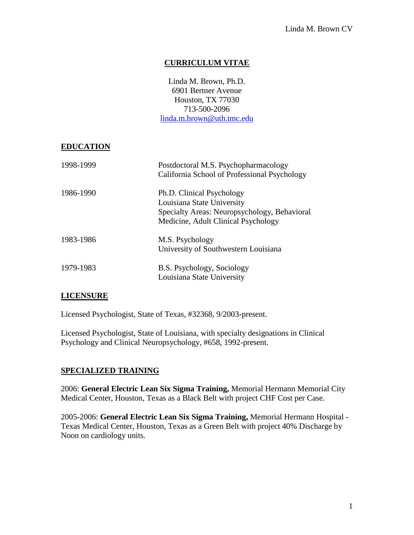# **CURRICULUM VITAE**

Linda M. Brown, Ph.D. 6901 Bertner Avenue Houston, TX 77030 713-500-2096 [linda.m.brown@uth.tmc.edu](mailto:linda.m.brown@uth.tmc.edu)

#### **EDUCATION**

| 1998-1999 | Postdoctoral M.S. Psychopharmacology<br>California School of Professional Psychology                                                           |
|-----------|------------------------------------------------------------------------------------------------------------------------------------------------|
| 1986-1990 | Ph.D. Clinical Psychology<br>Louisiana State University<br>Specialty Areas: Neuropsychology, Behavioral<br>Medicine, Adult Clinical Psychology |
| 1983-1986 | M.S. Psychology<br>University of Southwestern Louisiana                                                                                        |
| 1979-1983 | B.S. Psychology, Sociology<br>Louisiana State University                                                                                       |

### **LICENSURE**

Licensed Psychologist, State of Texas, #32368, 9/2003-present.

Licensed Psychologist, State of Louisiana, with specialty designations in Clinical Psychology and Clinical Neuropsychology, #658, 1992-present.

### **SPECIALIZED TRAINING**

2006: **General Electric Lean Six Sigma Training,** Memorial Hermann Memorial City Medical Center, Houston, Texas as a Black Belt with project CHF Cost per Case.

2005-2006: **General Electric Lean Six Sigma Training,** Memorial Hermann Hospital - Texas Medical Center, Houston, Texas as a Green Belt with project 40% Discharge by Noon on cardiology units.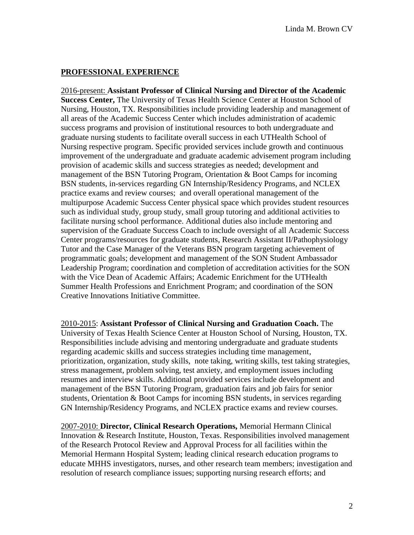## **PROFESSIONAL EXPERIENCE**

2016-present: **Assistant Professor of Clinical Nursing and Director of the Academic Success Center,** The University of Texas Health Science Center at Houston School of Nursing, Houston, TX. Responsibilities include providing leadership and management of all areas of the Academic Success Center which includes administration of academic success programs and provision of institutional resources to both undergraduate and graduate nursing students to facilitate overall success in each UTHealth School of Nursing respective program. Specific provided services include growth and continuous improvement of the undergraduate and graduate academic advisement program including provision of academic skills and success strategies as needed; development and management of the BSN Tutoring Program, Orientation & Boot Camps for incoming BSN students, in-services regarding GN Internship/Residency Programs, and NCLEX practice exams and review courses; and overall operational management of the multipurpose Academic Success Center physical space which provides student resources such as individual study, group study, small group tutoring and additional activities to facilitate nursing school performance. Additional duties also include mentoring and supervision of the Graduate Success Coach to include oversight of all Academic Success Center programs/resources for graduate students, Research Assistant II/Pathophysiology Tutor and the Case Manager of the Veterans BSN program targeting achievement of programmatic goals; development and management of the SON Student Ambassador Leadership Program; coordination and completion of accreditation activities for the SON with the Vice Dean of Academic Affairs; Academic Enrichment for the UTHealth Summer Health Professions and Enrichment Program; and coordination of the SON Creative Innovations Initiative Committee.

2010-2015: **Assistant Professor of Clinical Nursing and Graduation Coach.** The University of Texas Health Science Center at Houston School of Nursing, Houston, TX. Responsibilities include advising and mentoring undergraduate and graduate students regarding academic skills and success strategies including time management, prioritization, organization, study skills, note taking, writing skills, test taking strategies, stress management, problem solving, test anxiety, and employment issues including resumes and interview skills. Additional provided services include development and management of the BSN Tutoring Program, graduation fairs and job fairs for senior students, Orientation & Boot Camps for incoming BSN students, in services regarding GN Internship/Residency Programs, and NCLEX practice exams and review courses.

2007-2010: **Director, Clinical Research Operations,** Memorial Hermann Clinical Innovation & Research Institute, Houston, Texas. Responsibilities involved management of the Research Protocol Review and Approval Process for all facilities within the Memorial Hermann Hospital System; leading clinical research education programs to educate MHHS investigators, nurses, and other research team members; investigation and resolution of research compliance issues; supporting nursing research efforts; and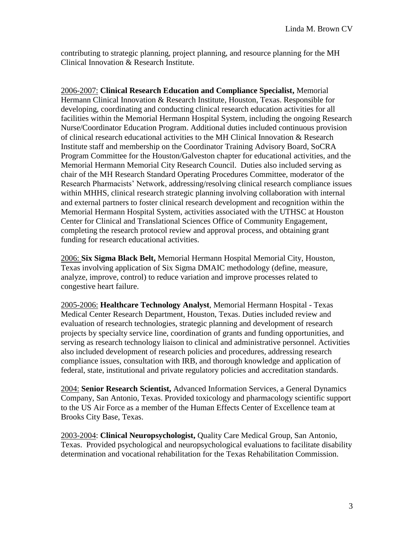contributing to strategic planning, project planning, and resource planning for the MH Clinical Innovation & Research Institute.

2006-2007: **Clinical Research Education and Compliance Specialist,** Memorial Hermann Clinical Innovation & Research Institute, Houston, Texas. Responsible for developing, coordinating and conducting clinical research education activities for all facilities within the Memorial Hermann Hospital System, including the ongoing Research Nurse/Coordinator Education Program. Additional duties included continuous provision of clinical research educational activities to the MH Clinical Innovation & Research Institute staff and membership on the Coordinator Training Advisory Board, SoCRA Program Committee for the Houston/Galveston chapter for educational activities, and the Memorial Hermann Memorial City Research Council. Duties also included serving as chair of the MH Research Standard Operating Procedures Committee, moderator of the Research Pharmacists' Network, addressing/resolving clinical research compliance issues within MHHS, clinical research strategic planning involving collaboration with internal and external partners to foster clinical research development and recognition within the Memorial Hermann Hospital System, activities associated with the UTHSC at Houston Center for Clinical and Translational Sciences Office of Community Engagement, completing the research protocol review and approval process, and obtaining grant funding for research educational activities.

2006: **Six Sigma Black Belt,** Memorial Hermann Hospital Memorial City, Houston, Texas involving application of Six Sigma DMAIC methodology (define, measure, analyze, improve, control) to reduce variation and improve processes related to congestive heart failure.

2005-2006: **Healthcare Technology Analyst**, Memorial Hermann Hospital - Texas Medical Center Research Department, Houston, Texas. Duties included review and evaluation of research technologies, strategic planning and development of research projects by specialty service line, coordination of grants and funding opportunities, and serving as research technology liaison to clinical and administrative personnel. Activities also included development of research policies and procedures, addressing research compliance issues, consultation with IRB, and thorough knowledge and application of federal, state, institutional and private regulatory policies and accreditation standards.

2004: **Senior Research Scientist,** Advanced Information Services, a General Dynamics Company, San Antonio, Texas. Provided toxicology and pharmacology scientific support to the US Air Force as a member of the Human Effects Center of Excellence team at Brooks City Base, Texas.

2003-2004: **Clinical Neuropsychologist,** Quality Care Medical Group, San Antonio, Texas. Provided psychological and neuropsychological evaluations to facilitate disability determination and vocational rehabilitation for the Texas Rehabilitation Commission.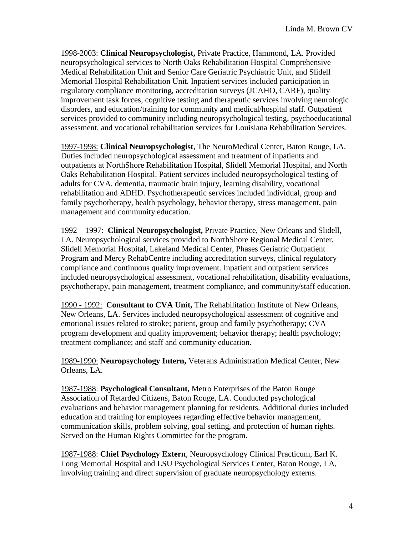1998-2003: **Clinical Neuropsychologist,** Private Practice, Hammond, LA. Provided neuropsychological services to North Oaks Rehabilitation Hospital Comprehensive Medical Rehabilitation Unit and Senior Care Geriatric Psychiatric Unit, and Slidell Memorial Hospital Rehabilitation Unit. Inpatient services included participation in regulatory compliance monitoring, accreditation surveys (JCAHO, CARF), quality improvement task forces, cognitive testing and therapeutic services involving neurologic disorders, and education/training for community and medical/hospital staff. Outpatient services provided to community including neuropsychological testing, psychoeducational assessment, and vocational rehabilitation services for Louisiana Rehabilitation Services.

1997-1998: **Clinical Neuropsychologist**, The NeuroMedical Center, Baton Rouge, LA. Duties included neuropsychological assessment and treatment of inpatients and outpatients at NorthShore Rehabilitation Hospital, Slidell Memorial Hospital, and North Oaks Rehabilitation Hospital. Patient services included neuropsychological testing of adults for CVA, dementia, traumatic brain injury, learning disability, vocational rehabilitation and ADHD. Psychotherapeutic services included individual, group and family psychotherapy, health psychology, behavior therapy, stress management, pain management and community education.

1992 – 1997: **Clinical Neuropsychologist,** Private Practice, New Orleans and Slidell, LA. Neuropsychological services provided to NorthShore Regional Medical Center, Slidell Memorial Hospital, Lakeland Medical Center, Phases Geriatric Outpatient Program and Mercy RehabCentre including accreditation surveys, clinical regulatory compliance and continuous quality improvement. Inpatient and outpatient services included neuropsychological assessment, vocational rehabilitation, disability evaluations, psychotherapy, pain management, treatment compliance, and community/staff education.

1990 - 1992: **Consultant to CVA Unit,** The Rehabilitation Institute of New Orleans, New Orleans, LA. Services included neuropsychological assessment of cognitive and emotional issues related to stroke; patient, group and family psychotherapy; CVA program development and quality improvement; behavior therapy; health psychology; treatment compliance; and staff and community education.

1989-1990: **Neuropsychology Intern,** Veterans Administration Medical Center, New Orleans, LA.

1987-1988: **Psychological Consultant,** Metro Enterprises of the Baton Rouge Association of Retarded Citizens, Baton Rouge, LA. Conducted psychological evaluations and behavior management planning for residents. Additional duties included education and training for employees regarding effective behavior management, communication skills, problem solving, goal setting, and protection of human rights. Served on the Human Rights Committee for the program.

1987-1988: **Chief Psychology Extern**, Neuropsychology Clinical Practicum, Earl K. Long Memorial Hospital and LSU Psychological Services Center, Baton Rouge, LA, involving training and direct supervision of graduate neuropsychology externs.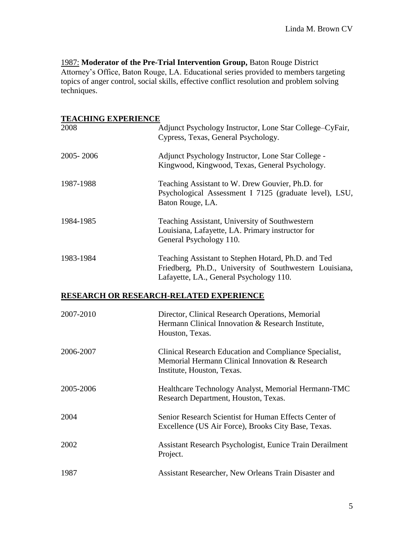1987: Moderator of the Pre-Trial Intervention Group, Baton Rouge District Attorney's Office, Baton Rouge, LA. Educational series provided to members targeting topics of anger control, social skills, effective conflict resolution and problem solving techniques.

# **TEACHING EXPERIENCE**

| 2008      | Adjunct Psychology Instructor, Lone Star College-CyFair,<br>Cypress, Texas, General Psychology.                                                           |
|-----------|-----------------------------------------------------------------------------------------------------------------------------------------------------------|
| 2005-2006 | Adjunct Psychology Instructor, Lone Star College -<br>Kingwood, Kingwood, Texas, General Psychology.                                                      |
| 1987-1988 | Teaching Assistant to W. Drew Gouvier, Ph.D. for<br>Psychological Assessment I 7125 (graduate level), LSU,<br>Baton Rouge, LA.                            |
| 1984-1985 | Teaching Assistant, University of Southwestern<br>Louisiana, Lafayette, LA. Primary instructor for<br>General Psychology 110.                             |
| 1983-1984 | Teaching Assistant to Stephen Hotard, Ph.D. and Ted<br>Friedberg, Ph.D., University of Southwestern Louisiana,<br>Lafayette, LA., General Psychology 110. |
|           | RESEARCH OR RESEARCH-RELATED EXPERIENCE                                                                                                                   |
| 2007-2010 | Director, Clinical Research Operations, Memorial<br>Hermann Clinical Innovation & Research Institute,<br>Houston, Texas.                                  |
| 2006-2007 | Clinical Research Education and Compliance Specialist,<br>Memorial Hermann Clinical Innovation & Research<br>Institute, Houston, Texas.                   |
| 2005-2006 | Healthcare Technology Analyst, Memorial Hermann-TMC<br>Research Department, Houston, Texas.                                                               |
| 2004      | Senior Research Scientist for Human Effects Center of<br>Excellence (US Air Force), Brooks City Base, Texas.                                              |
| 2002      | Assistant Research Psychologist, Eunice Train Derailment<br>Project.                                                                                      |
| 1987      | Assistant Researcher, New Orleans Train Disaster and                                                                                                      |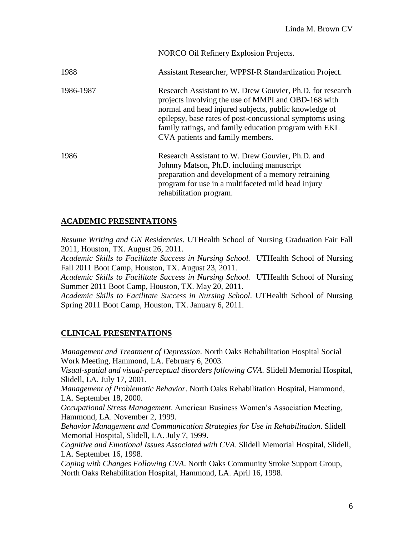|           | NORCO Oil Refinery Explosion Projects.                                                                                                                                                                                                                                                                                             |
|-----------|------------------------------------------------------------------------------------------------------------------------------------------------------------------------------------------------------------------------------------------------------------------------------------------------------------------------------------|
| 1988      | Assistant Researcher, WPPSI-R Standardization Project.                                                                                                                                                                                                                                                                             |
| 1986-1987 | Research Assistant to W. Drew Gouvier, Ph.D. for research<br>projects involving the use of MMPI and OBD-168 with<br>normal and head injured subjects, public knowledge of<br>epilepsy, base rates of post-concussional symptoms using<br>family ratings, and family education program with EKL<br>CVA patients and family members. |
| 1986      | Research Assistant to W. Drew Gouvier, Ph.D. and<br>Johnny Matson, Ph.D. including manuscript<br>preparation and development of a memory retraining<br>program for use in a multifaceted mild head injury<br>rehabilitation program.                                                                                               |

# **ACADEMIC PRESENTATIONS**

*Resume Writing and GN Residencies.* UTHealth School of Nursing Graduation Fair Fall 2011, Houston, TX. August 26, 2011.

*Academic Skills to Facilitate Success in Nursing School.* UTHealth School of Nursing Fall 2011 Boot Camp, Houston, TX. August 23, 2011.

*Academic Skills to Facilitate Success in Nursing School.* UTHealth School of Nursing Summer 2011 Boot Camp, Houston, TX. May 20, 2011.

*Academic Skills to Facilitate Success in Nursing School.* UTHealth School of Nursing Spring 2011 Boot Camp, Houston, TX. January 6, 2011.

# **CLINICAL PRESENTATIONS**

*Management and Treatment of Depression*. North Oaks Rehabilitation Hospital Social Work Meeting, Hammond, LA. February 6, 2003.

*Visual-spatial and visual-perceptual disorders following CVA*. Slidell Memorial Hospital, Slidell, LA. July 17, 2001.

*Management of Problematic Behavior*. North Oaks Rehabilitation Hospital, Hammond, LA. September 18, 2000.

*Occupational Stress Management*. American Business Women's Association Meeting, Hammond, LA. November 2, 1999.

*Behavior Management and Communication Strategies for Use in Rehabilitation*. Slidell Memorial Hospital, Slidell, LA. July 7, 1999.

*Cognitive and Emotional Issues Associated with CVA*. Slidell Memorial Hospital, Slidell, LA. September 16, 1998.

*Coping with Changes Following CVA*. North Oaks Community Stroke Support Group, North Oaks Rehabilitation Hospital, Hammond, LA. April 16, 1998.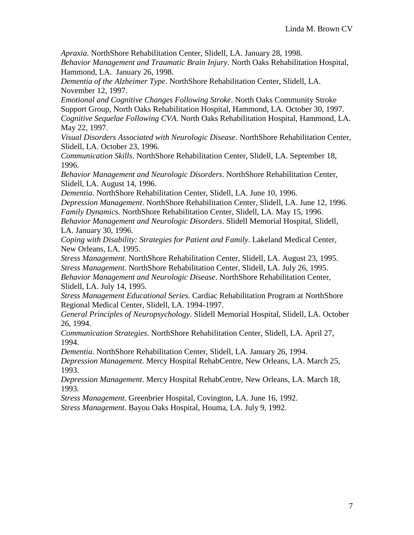*Apraxia*. NorthShore Rehabilitation Center, Slidell, LA. January 28, 1998.

*Behavior Management and Traumatic Brain Injury*. North Oaks Rehabilitation Hospital, Hammond, LA. January 26, 1998.

*Dementia of the Alzheimer Type*. NorthShore Rehabilitation Center, Slidell, LA. November 12, 1997.

*Emotional and Cognitive Changes Following Stroke*. North Oaks Community Stroke Support Group, North Oaks Rehabilitation Hospital, Hammond, LA. October 30, 1997. *Cognitive Sequelae Following CVA*. North Oaks Rehabilitation Hospital, Hammond, LA. May 22, 1997.

*Visual Disorders Associated with Neurologic Disease*. NorthShore Rehabilitation Center, Slidell, LA. October 23, 1996.

*Communication Skills*. NorthShore Rehabilitation Center, Slidell, LA. September 18, 1996.

*Behavior Management and Neurologic Disorders*. NorthShore Rehabilitation Center, Slidell, LA. August 14, 1996.

*Dementia*. NorthShore Rehabilitation Center, Slidell, LA. June 10, 1996.

*Depression Management*. NorthShore Rehabilitation Center, Slidell, LA. June 12, 1996. *Family Dynamics*. NorthShore Rehabilitation Center, Slidell, LA. May 15, 1996.

*Behavior Management and Neurologic Disorders*. Slidell Memorial Hospital, Slidell, LA. January 30, 1996.

*Coping with Disability: Strategies for Patient and Family*. Lakeland Medical Center, New Orleans, LA. 1995.

*Stress Management*. NorthShore Rehabilitation Center, Slidell, LA. August 23, 1995. *Stress Management*. NorthShore Rehabilitation Center, Slidell, LA. July 26, 1995.

*Behavior Management and Neurologic Disease*. NorthShore Rehabilitation Center, Slidell, LA. July 14, 1995.

*Stress Management Educational Series.* Cardiac Rehabilitation Program at NorthShore Regional Medical Center, Slidell, LA. 1994-1997.

*General Principles of Neuropsychology*. Slidell Memorial Hospital, Slidell, LA. October 26, 1994.

*Communication Strategies*. NorthShore Rehabilitation Center, Slidell, LA. April 27, 1994.

*Dementia*. NorthShore Rehabilitation Center, Slidell, LA. January 26, 1994.

*Depression Management*. Mercy Hospital RehabCentre, New Orleans, LA. March 25, 1993.

*Depression Management*. Mercy Hospital RehabCentre, New Orleans, LA. March 18, 1993.

*Stress Management*. Greenbrier Hospital, Covington, LA. June 16, 1992.

*Stress Management*. Bayou Oaks Hospital, Houma, LA. July 9, 1992.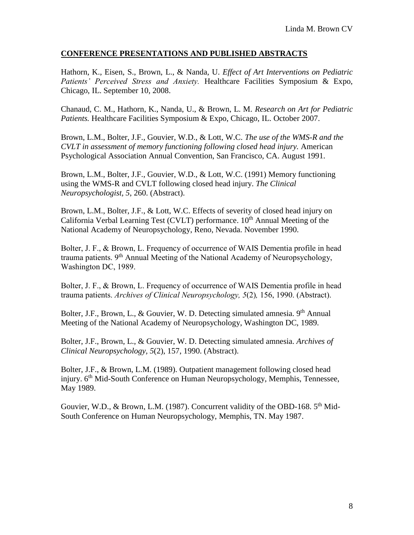#### **CONFERENCE PRESENTATIONS AND PUBLISHED ABSTRACTS**

Hathorn, K., Eisen, S., Brown, L., & Nanda, U. *Effect of Art Interventions on Pediatric Patients' Perceived Stress and Anxiety.* Healthcare Facilities Symposium & Expo, Chicago, IL. September 10, 2008.

Chanaud, C. M., Hathorn, K., Nanda, U., & Brown, L. M. *Research on Art for Pediatric Patients.* Healthcare Facilities Symposium & Expo, Chicago, IL. October 2007.

Brown, L.M., Bolter, J.F., Gouvier, W.D., & Lott, W.C. *The use of the WMS-R and the CVLT in assessment of memory functioning following closed head injury.* American Psychological Association Annual Convention, San Francisco, CA. August 1991.

Brown, L.M., Bolter, J.F., Gouvier, W.D., & Lott, W.C. (1991) Memory functioning using the WMS-R and CVLT following closed head injury. *The Clinical Neuropsychologist, 5*, 260. (Abstract).

Brown, L.M., Bolter, J.F., & Lott, W.C. Effects of severity of closed head injury on California Verbal Learning Test (CVLT) performance. 10<sup>th</sup> Annual Meeting of the National Academy of Neuropsychology, Reno, Nevada. November 1990.

Bolter, J. F., & Brown, L. Frequency of occurrence of WAIS Dementia profile in head trauma patients. 9<sup>th</sup> Annual Meeting of the National Academy of Neuropsychology, Washington DC, 1989.

Bolter, J. F., & Brown, L. Frequency of occurrence of WAIS Dementia profile in head trauma patients. *Archives of Clinical Neuropsychology, 5*(2)*,* 156, 1990. (Abstract).

Bolter, J.F., Brown, L., & Gouvier, W. D. Detecting simulated amnesia. 9<sup>th</sup> Annual Meeting of the National Academy of Neuropsychology, Washington DC, 1989.

Bolter, J.F., Brown, L., & Gouvier, W. D. Detecting simulated amnesia. *Archives of Clinical Neuropsychology, 5*(2), 157, 1990. (Abstract).

Bolter, J.F., & Brown, L.M. (1989). Outpatient management following closed head injury. 6<sup>th</sup> Mid-South Conference on Human Neuropsychology, Memphis, Tennessee, May 1989.

Gouvier, W.D., & Brown, L.M. (1987). Concurrent validity of the OBD-168. 5<sup>th</sup> Mid-South Conference on Human Neuropsychology, Memphis, TN. May 1987.